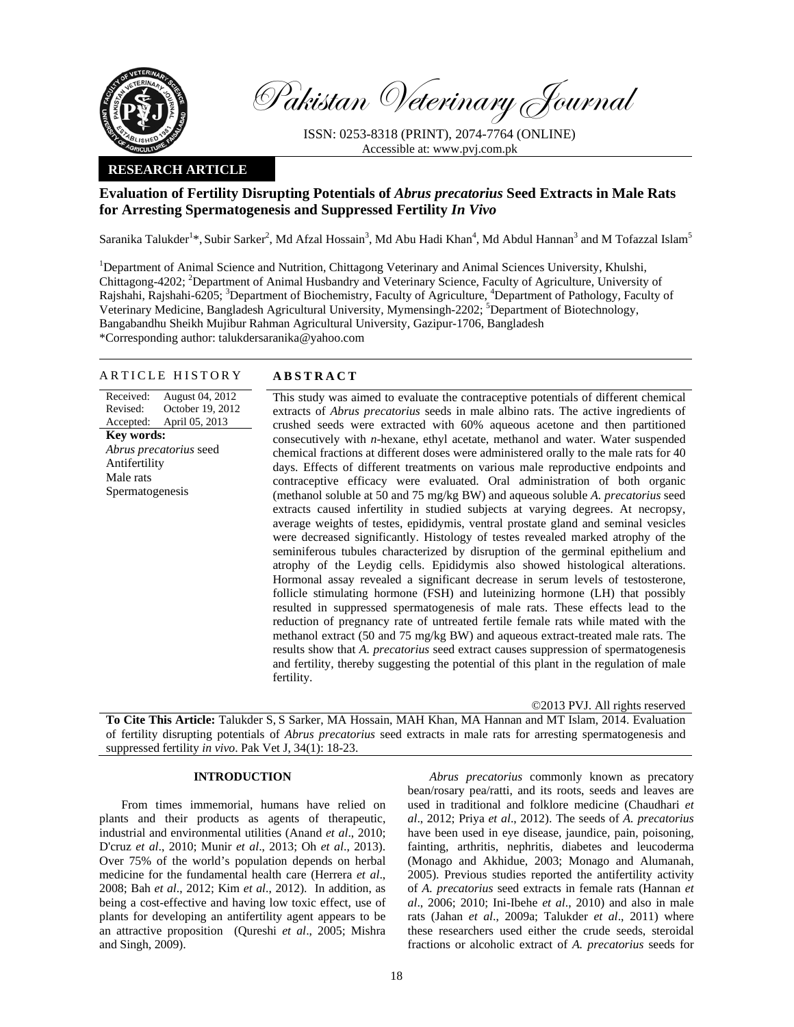

Pakistan Veterinary Journal

ISSN: 0253-8318 (PRINT), 2074-7764 (ONLINE) Accessible at: www.pvj.com.pk

## **RESEARCH ARTICLE**

# **Evaluation of Fertility Disrupting Potentials of** *Abrus precatorius* **Seed Extracts in Male Rats for Arresting Spermatogenesis and Suppressed Fertility** *In Vivo*

Saranika Talukder<sup>1</sup>\*, Subir Sarker<sup>2</sup>, Md Afzal Hossain<sup>3</sup>, Md Abu Hadi Khan<sup>4</sup>, Md Abdul Hannan<sup>3</sup> and M Tofazzal Islam<sup>5</sup>

<sup>1</sup>Department of Animal Science and Nutrition, Chittagong Veterinary and Animal Sciences University, Khulshi, Chittagong-4202; <sup>2</sup>Department of Animal Husbandry and Veterinary Science, Faculty of Agriculture, University of Rajshahi, Rajshahi-6205; <sup>3</sup>Department of Biochemistry, Faculty of Agriculture, <sup>4</sup>Department of Pathology, Faculty of Veterinary Medicine, Bangladesh Agricultural University, Mymensingh-2202; <sup>5</sup>Department of Biotechnology, Bangabandhu Sheikh Mujibur Rahman Agricultural University, Gazipur-1706, Bangladesh \*Corresponding author: talukdersaranika@yahoo.com

#### ARTICLE HISTORY **ABSTRACT**

Received: Revised: Accepted: August 04, 2012 October 19, 2012 April 05, 2013 **Key words:**  *Abrus precatorius* seed Antifertility Male rats Spermatogenesis

 This study was aimed to evaluate the contraceptive potentials of different chemical extracts of *Abrus precatorius* seeds in male albino rats. The active ingredients of crushed seeds were extracted with 60% aqueous acetone and then partitioned consecutively with *n*-hexane, ethyl acetate, methanol and water. Water suspended chemical fractions at different doses were administered orally to the male rats for 40 days. Effects of different treatments on various male reproductive endpoints and contraceptive efficacy were evaluated. Oral administration of both organic (methanol soluble at 50 and 75 mg/kg BW) and aqueous soluble *A. precatorius* seed extracts caused infertility in studied subjects at varying degrees. At necropsy, average weights of testes, epididymis, ventral prostate gland and seminal vesicles were decreased significantly. Histology of testes revealed marked atrophy of the seminiferous tubules characterized by disruption of the germinal epithelium and atrophy of the Leydig cells. Epididymis also showed histological alterations. Hormonal assay revealed a significant decrease in serum levels of testosterone, follicle stimulating hormone (FSH) and luteinizing hormone (LH) that possibly resulted in suppressed spermatogenesis of male rats. These effects lead to the reduction of pregnancy rate of untreated fertile female rats while mated with the methanol extract (50 and 75 mg/kg BW) and aqueous extract-treated male rats. The results show that *A. precatorius* seed extract causes suppression of spermatogenesis and fertility, thereby suggesting the potential of this plant in the regulation of male fertility.

©2013 PVJ. All rights reserved

**To Cite This Article:** Talukder S, S Sarker, MA Hossain, MAH Khan, MA Hannan and MT Islam, 2014. Evaluation of fertility disrupting potentials of *Abrus precatorius* seed extracts in male rats for arresting spermatogenesis and suppressed fertility *in vivo*. Pak Vet J, 34(1): 18-23.

## **INTRODUCTION**

From times immemorial, humans have relied on plants and their products as agents of therapeutic, industrial and environmental utilities (Anand *et al*., 2010; D'cruz *et al*., 2010; Munir *et al*., 2013; Oh *et al*., 2013). Over 75% of the world's population depends on herbal medicine for the fundamental health care (Herrera *et al*., 2008; Bah *et al*., 2012; Kim *et al*., 2012). In addition, as being a cost-effective and having low toxic effect, use of plants for developing an antifertility agent appears to be an attractive proposition (Qureshi *et al*., 2005; Mishra and Singh, 2009).

*Abrus precatorius* commonly known as precatory bean/rosary pea/ratti, and its roots, seeds and leaves are used in traditional and folklore medicine (Chaudhari *et al*., 2012; Priya *et al*., 2012). The seeds of *A. precatorius* have been used in eye disease, jaundice, pain, poisoning, fainting, arthritis, nephritis, diabetes and leucoderma (Monago and Akhidue, 2003; Monago and Alumanah, 2005). Previous studies reported the antifertility activity of *A. precatorius* seed extracts in female rats (Hannan *et al*., 2006; 2010; Ini-Ibehe *et al*., 2010) and also in male rats (Jahan *et al*., 2009a; Talukder *et al*., 2011) where these researchers used either the crude seeds, steroidal fractions or alcoholic extract of *A. precatorius* seeds for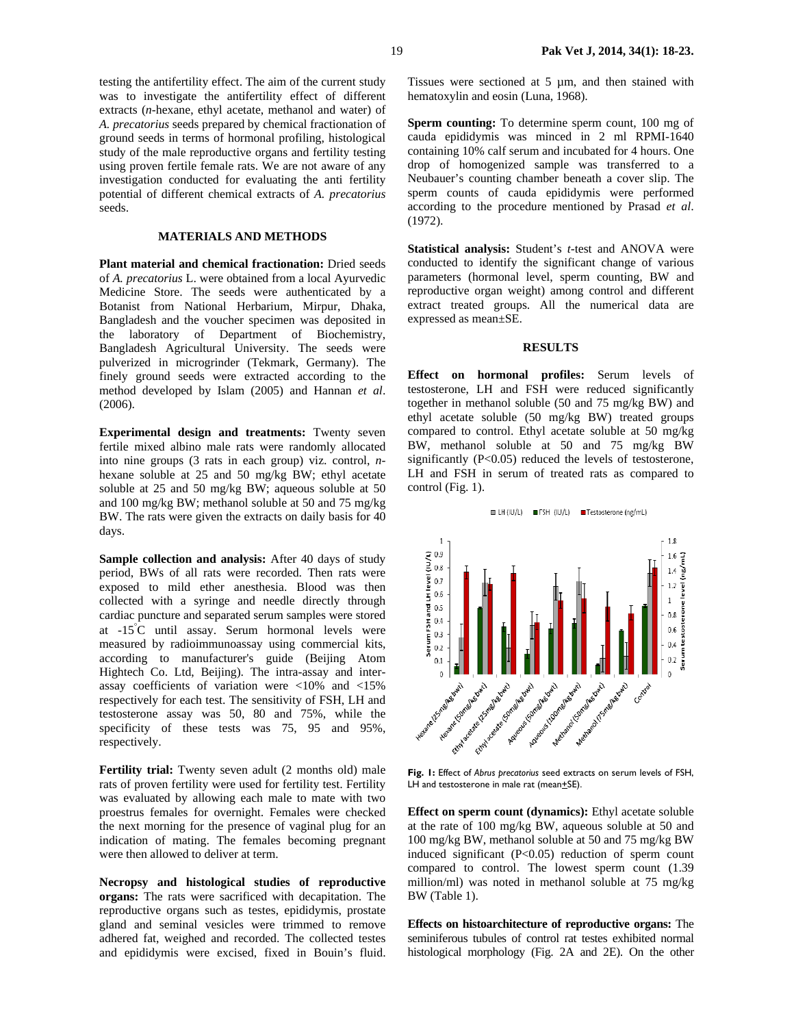testing the antifertility effect. The aim of the current study was to investigate the antifertility effect of different extracts (*n*-hexane, ethyl acetate, methanol and water) of *A. precatorius* seeds prepared by chemical fractionation of ground seeds in terms of hormonal profiling, histological study of the male reproductive organs and fertility testing using proven fertile female rats. We are not aware of any investigation conducted for evaluating the anti fertility potential of different chemical extracts of *A. precatorius* seeds.

### **MATERIALS AND METHODS**

**Plant material and chemical fractionation:** Dried seeds of *A. precatorius* L. were obtained from a local Ayurvedic Medicine Store. The seeds were authenticated by a Botanist from National Herbarium, Mirpur, Dhaka, Bangladesh and the voucher specimen was deposited in the laboratory of Department of Biochemistry, Bangladesh Agricultural University. The seeds were pulverized in microgrinder (Tekmark, Germany). The finely ground seeds were extracted according to the method developed by Islam (2005) and Hannan *et al*. (2006).

**Experimental design and treatments:** Twenty seven fertile mixed albino male rats were randomly allocated into nine groups (3 rats in each group) viz. control, *n*hexane soluble at 25 and 50 mg/kg BW; ethyl acetate soluble at 25 and 50 mg/kg BW; aqueous soluble at 50 and 100 mg/kg BW; methanol soluble at 50 and 75 mg/kg BW. The rats were given the extracts on daily basis for 40 days.

**Sample collection and analysis:** After 40 days of study period, BWs of all rats were recorded. Then rats were exposed to mild ether anesthesia. Blood was then collected with a syringe and needle directly through cardiac puncture and separated serum samples were stored at -15° C until assay. Serum hormonal levels were measured by radioimmunoassay using commercial kits, according to manufacturer's guide (Beijing Atom Hightech Co. Ltd, Beijing). The intra-assay and interassay coefficients of variation were <10% and <15% respectively for each test. The sensitivity of FSH, LH and testosterone assay was 50, 80 and 75%, while the specificity of these tests was 75, 95 and 95%, respectively.

**Fertility trial:** Twenty seven adult (2 months old) male rats of proven fertility were used for fertility test. Fertility was evaluated by allowing each male to mate with two proestrus females for overnight. Females were checked the next morning for the presence of vaginal plug for an indication of mating. The females becoming pregnant were then allowed to deliver at term.

**Necropsy and histological studies of reproductive organs:** The rats were sacrificed with decapitation. The reproductive organs such as testes, epididymis, prostate gland and seminal vesicles were trimmed to remove adhered fat, weighed and recorded. The collected testes and epididymis were excised, fixed in Bouin's fluid. Tissues were sectioned at 5 µm, and then stained with hematoxylin and eosin (Luna, 1968).

**Sperm counting:** To determine sperm count, 100 mg of cauda epididymis was minced in 2 ml RPMI-1640 containing 10% calf serum and incubated for 4 hours. One drop of homogenized sample was transferred to a Neubauer's counting chamber beneath a cover slip. The sperm counts of cauda epididymis were performed according to the procedure mentioned by Prasad *et al*. (1972).

**Statistical analysis:** Student's *t*-test and ANOVA were conducted to identify the significant change of various parameters (hormonal level, sperm counting, BW and reproductive organ weight) among control and different extract treated groups. All the numerical data are expressed as mean±SE.

#### **RESULTS**

**Effect on hormonal profiles:** Serum levels of testosterone, LH and FSH were reduced significantly together in methanol soluble (50 and 75 mg/kg BW) and ethyl acetate soluble (50 mg/kg BW) treated groups compared to control. Ethyl acetate soluble at 50 mg/kg BW, methanol soluble at 50 and 75 mg/kg BW significantly (P<0.05) reduced the levels of testosterone, LH and FSH in serum of treated rats as compared to control (Fig. 1).



**Fig. 1:** Effect of *Abrus precatorius* seed extracts on serum levels of FSH, LH and testosterone in male rat (mean $+$ SE).

**Effect on sperm count (dynamics):** Ethyl acetate soluble at the rate of 100 mg/kg BW, aqueous soluble at 50 and 100 mg/kg BW, methanol soluble at 50 and 75 mg/kg BW induced significant (P<0.05) reduction of sperm count compared to control. The lowest sperm count (1.39 million/ml) was noted in methanol soluble at 75 mg/kg BW (Table 1).

**Effects on histoarchitecture of reproductive organs:** The seminiferous tubules of control rat testes exhibited normal histological morphology (Fig. 2A and 2E). On the other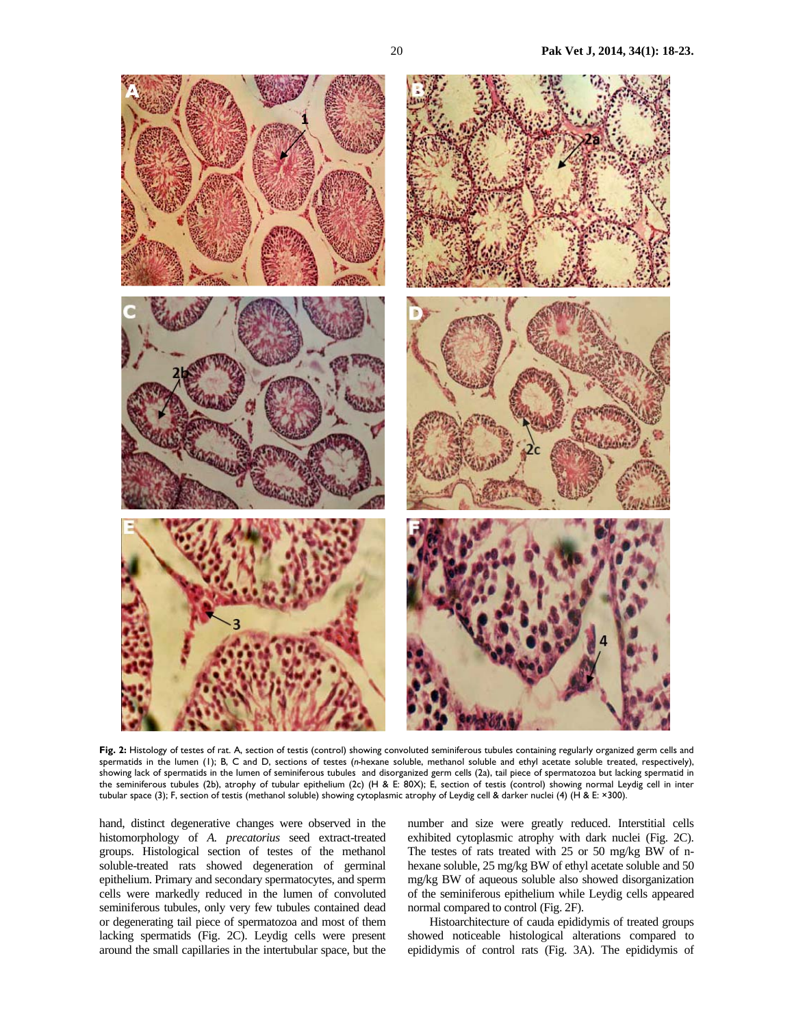

**Fig. 2:** Histology of testes of rat. A, section of testis (control) showing convoluted seminiferous tubules containing regularly organized germ cells and spermatids in the lumen (1); B, C and D, sections of testes (*n-*hexane soluble, methanol soluble and ethyl acetate soluble treated, respectively), showing lack of spermatids in the lumen of seminiferous tubules and disorganized germ cells (2a), tail piece of spermatozoa but lacking spermatid in the seminiferous tubules (2b), atrophy of tubular epithelium (2c) (H & E: 80X); E, section of testis (control) showing normal Leydig cell in inter tubular space (3); F, section of testis (methanol soluble) showing cytoplasmic atrophy of Leydig cell & darker nuclei (4) (H & E: ×300).

hand, distinct degenerative changes were observed in the histomorphology of *A. precatorius* seed extract-treated groups. Histological section of testes of the methanol soluble-treated rats showed degeneration of germinal epithelium. Primary and secondary spermatocytes, and sperm cells were markedly reduced in the lumen of convoluted seminiferous tubules, only very few tubules contained dead or degenerating tail piece of spermatozoa and most of them lacking spermatids (Fig. 2C). Leydig cells were present around the small capillaries in the intertubular space, but the

number and size were greatly reduced. Interstitial cells exhibited cytoplasmic atrophy with dark nuclei (Fig. 2C). The testes of rats treated with 25 or 50 mg/kg BW of nhexane soluble, 25 mg/kg BW of ethyl acetate soluble and 50 mg/kg BW of aqueous soluble also showed disorganization of the seminiferous epithelium while Leydig cells appeared normal compared to control (Fig. 2F).

Histoarchitecture of cauda epididymis of treated groups showed noticeable histological alterations compared to epididymis of control rats (Fig. 3A). The epididymis of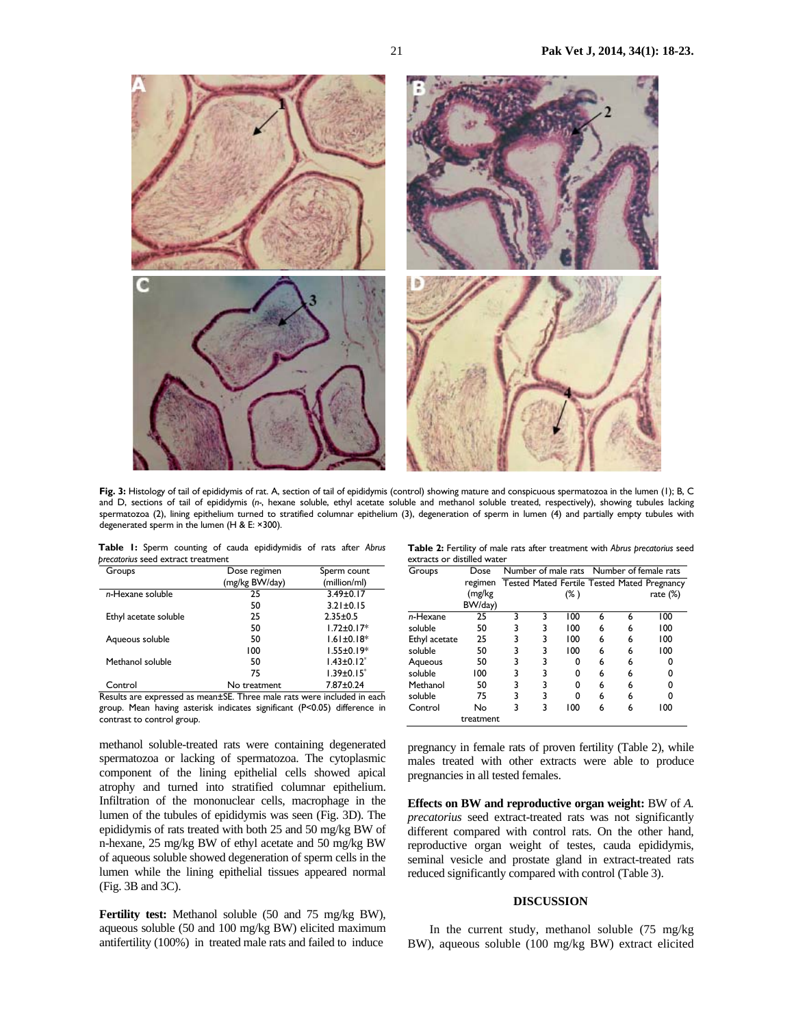

**Fig. 3:** Histology of tail of epididymis of rat. A, section of tail of epididymis (control) showing mature and conspicuous spermatozoa in the lumen (1); B, C and D, sections of tail of epididymis (*n-*, hexane soluble, ethyl acetate soluble and methanol soluble treated, respectively), showing tubules lacking spermatozoa (2), lining epithelium turned to stratified columnar epithelium (3), degeneration of sperm in lumen (4) and partially empty tubules with degenerated sperm in the lumen (H & E: ×300).

**Table 1:** Sperm counting of cauda epididymidis of rats after *Abrus precatorius* seed extract treatment

| Groups                | Dose regimen   | Sperm count       |
|-----------------------|----------------|-------------------|
|                       | (mg/kg BW/day) | (million/ml)      |
| n-Hexane soluble      | 25             | $3.49 \pm 0.17$   |
|                       | 50             | $3.21 \pm 0.15$   |
| Ethyl acetate soluble | 25             | $2.35 + 0.5$      |
|                       | 50             | $1.72 \pm 0.17^*$ |
| Aqueous soluble       | 50             | $1.61 \pm 0.18*$  |
|                       | 100            | $1.55 \pm 0.19*$  |
| Methanol soluble      | 50             | $1.43 \pm 0.12^*$ |
|                       | 75             | $1.39 \pm 0.15^*$ |
| Control               | No treatment   | $7.87 \pm 0.24$   |

Results are expressed as mean±SE. Three male rats were included in each group. Mean having asterisk indicates significant (P<0.05) difference in contrast to control group.

methanol soluble-treated rats were containing degenerated spermatozoa or lacking of spermatozoa. The cytoplasmic component of the lining epithelial cells showed apical atrophy and turned into stratified columnar epithelium. Infiltration of the mononuclear cells, macrophage in the lumen of the tubules of epididymis was seen (Fig. 3D). The epididymis of rats treated with both 25 and 50 mg/kg BW of n-hexane, 25 mg/kg BW of ethyl acetate and 50 mg/kg BW of aqueous soluble showed degeneration of sperm cells in the lumen while the lining epithelial tissues appeared normal (Fig. 3B and 3C).

**Fertility test:** Methanol soluble (50 and 75 mg/kg BW), aqueous soluble (50 and 100 mg/kg BW) elicited maximum antifertility (100%) in treated male rats and failed to induce

**Table 2:** Fertility of male rats after treatment with *Abrus precatorius* seed extracts or distilled water

| Groups        | Dose      |   |   | Number of male rats Number of female rats |   |   |                                                    |
|---------------|-----------|---|---|-------------------------------------------|---|---|----------------------------------------------------|
|               | regimen   |   |   |                                           |   |   | <b>Tested Mated Fertile Tested Mated Pregnancy</b> |
|               | (mg/kg    |   |   | $(\% )$                                   |   |   | rate (%)                                           |
|               | BW/day)   |   |   |                                           |   |   |                                                    |
| n-Hexane      | 25        | 3 | 3 | 100                                       | 6 | 6 | 100                                                |
| soluble       | 50        | 3 | 3 | 100                                       | 6 | 6 | 100                                                |
| Ethyl acetate | 25        | 3 | 3 | 100                                       | 6 | 6 | 100                                                |
| soluble       | 50        | 3 | 3 | 100                                       | 6 | 6 | 100                                                |
| Aqueous       | 50        | 3 | 3 | ŋ                                         | 6 | 6 | 0                                                  |
| soluble       | 100       | 3 | 3 | O                                         | 6 | 6 | 0                                                  |
| Methanol      | 50        | 3 | 3 | ŋ                                         | 6 | 6 | 0                                                  |
| soluble       | 75        | 3 | 3 | ŋ                                         | 6 | 6 | 0                                                  |
| Control       | No        | 3 | 3 | 100                                       | 6 | 6 | 100                                                |
|               | treatment |   |   |                                           |   |   |                                                    |

pregnancy in female rats of proven fertility (Table 2), while males treated with other extracts were able to produce pregnancies in all tested females.

**Effects on BW and reproductive organ weight:** BW of *A. precatorius* seed extract-treated rats was not significantly different compared with control rats. On the other hand, reproductive organ weight of testes, cauda epididymis, seminal vesicle and prostate gland in extract-treated rats reduced significantly compared with control (Table 3).

### **DISCUSSION**

In the current study, methanol soluble (75 mg/kg BW), aqueous soluble (100 mg/kg BW) extract elicited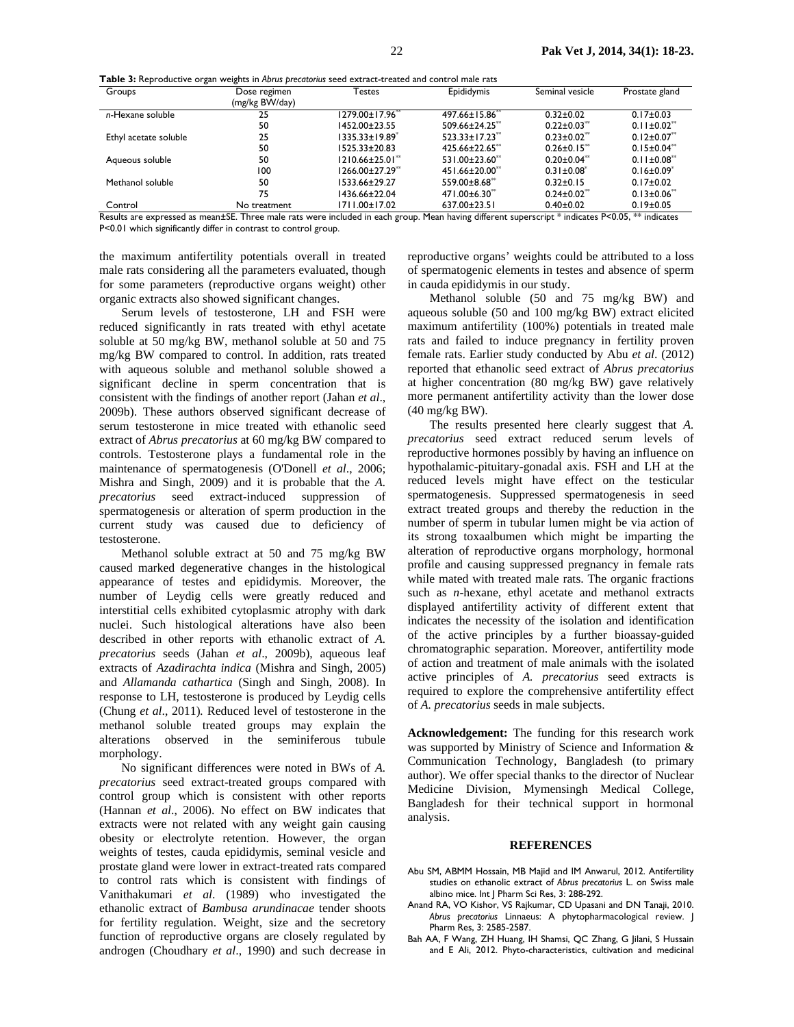**Table 3:** Reproductive organ weights in *Abrus precatorius* seed extract-treated and control male rats

| Dose regimen   | Testes                | Epididymis                       | Seminal vesicle               | Prostate gland                |
|----------------|-----------------------|----------------------------------|-------------------------------|-------------------------------|
| (mg/kg BW/day) |                       |                                  |                               |                               |
| 25             | 1279.00±17.96**       | 497.66±15.86 <sup>**</sup>       | $0.32 \pm 0.02$               | $0.17 \pm 0.03$               |
| 50             | 1452.00±23.55         | $509.66 \pm 24.25$               | $0.22 \pm 0.03$ <sup>**</sup> | $0.11 \pm 0.02$ <sup>**</sup> |
| 25             | $1335.33 \pm 19.89^*$ | $523.33 \pm 17.23$ <sup>**</sup> | $0.23 \pm 0.02$ <sup>**</sup> | $0.12 \pm 0.07$               |
| 50             | 1525.33±20.83         | 425.66±22.65**                   | $0.26 \pm 0.15$ **            | $0.15 \pm 0.04$ **            |
| 50             | $1210.66\pm25.01**$   | 531.00±23.60 <sup>**</sup>       | $0.20 \pm 0.04$ <sup>**</sup> | $0.11 \pm 0.08$ <sup>**</sup> |
| 100            | 1266.00±27.29**       | 451.66±20.00 <sup>**</sup>       | $0.31 \pm 0.08^*$             | $0.16 \pm 0.09$               |
| 50             | 1533.66±29.27         | 559.00±8.68**                    | $0.32 \pm 0.15$               | $0.17 \pm 0.02$               |
| 75             | 1436.66±22.04         | 471.00±6.30 <sup>**</sup>        | $0.24 \pm 0.02$ <sup>**</sup> | $0.13 \pm 0.06$               |
| No treatment   | 1711.00±17.02         | 637.00±23.51                     | $0.40 \pm 0.02$               | $0.19 \pm 0.05$               |
|                |                       |                                  | 1.00<br>$\ddot{\phantom{1}}$  | <b>PLACE John H</b>           |

Results are expressed as mean±SE. Three male rats were included in each group. Mean having different superscript \* indicates P<0.05, \*\* indicates P<0.01 which significantly differ in contrast to control group.

the maximum antifertility potentials overall in treated male rats considering all the parameters evaluated, though for some parameters (reproductive organs weight) other organic extracts also showed significant changes.

Serum levels of testosterone, LH and FSH were reduced significantly in rats treated with ethyl acetate soluble at 50 mg/kg BW, methanol soluble at 50 and 75 mg/kg BW compared to control. In addition, rats treated with aqueous soluble and methanol soluble showed a significant decline in sperm concentration that is consistent with the findings of another report (Jahan *et al*., 2009b). These authors observed significant decrease of serum testosterone in mice treated with ethanolic seed extract of *Abrus precatorius* at 60 mg/kg BW compared to controls. Testosterone plays a fundamental role in the maintenance of spermatogenesis (O'Donell *et al*., 2006; Mishra and Singh, 2009) and it is probable that the *A. precatorius* seed extract-induced suppression of spermatogenesis or alteration of sperm production in the current study was caused due to deficiency of testosterone.

Methanol soluble extract at 50 and 75 mg/kg BW caused marked degenerative changes in the histological appearance of testes and epididymis. Moreover, the number of Leydig cells were greatly reduced and interstitial cells exhibited cytoplasmic atrophy with dark nuclei. Such histological alterations have also been described in other reports with ethanolic extract of *A. precatorius* seeds (Jahan *et al*., 2009b), aqueous leaf extracts of *Azadirachta indica* (Mishra and Singh, 2005) and *Allamanda cathartica* (Singh and Singh, 2008). In response to LH, testosterone is produced by Leydig cells (Chung *et al*., 2011)*.* Reduced level of testosterone in the methanol soluble treated groups may explain the alterations observed in the seminiferous tubule morphology.

No significant differences were noted in BWs of *A. precatorius* seed extract-treated groups compared with control group which is consistent with other reports (Hannan *et al*., 2006). No effect on BW indicates that extracts were not related with any weight gain causing obesity or electrolyte retention. However, the organ weights of testes, cauda epididymis, seminal vesicle and prostate gland were lower in extract-treated rats compared to control rats which is consistent with findings of Vanithakumari *et al*. (1989) who investigated the ethanolic extract of *Bambusa arundinacae* tender shoots for fertility regulation. Weight, size and the secretory function of reproductive organs are closely regulated by androgen (Choudhary *et al*., 1990) and such decrease in

reproductive organs' weights could be attributed to a loss of spermatogenic elements in testes and absence of sperm in cauda epididymis in our study.

Methanol soluble (50 and 75 mg/kg BW) and aqueous soluble (50 and 100 mg/kg BW) extract elicited maximum antifertility (100%) potentials in treated male rats and failed to induce pregnancy in fertility proven female rats. Earlier study conducted by Abu *et al*. (2012) reported that ethanolic seed extract of *Abrus precatorius* at higher concentration (80 mg/kg BW) gave relatively more permanent antifertility activity than the lower dose (40 mg/kg BW).

The results presented here clearly suggest that *A. precatorius* seed extract reduced serum levels of reproductive hormones possibly by having an influence on hypothalamic-pituitary-gonadal axis. FSH and LH at the reduced levels might have effect on the testicular spermatogenesis. Suppressed spermatogenesis in seed extract treated groups and thereby the reduction in the number of sperm in tubular lumen might be via action of its strong toxaalbumen which might be imparting the alteration of reproductive organs morphology, hormonal profile and causing suppressed pregnancy in female rats while mated with treated male rats. The organic fractions such as *n*-hexane, ethyl acetate and methanol extracts displayed antifertility activity of different extent that indicates the necessity of the isolation and identification of the active principles by a further bioassay-guided chromatographic separation. Moreover, antifertility mode of action and treatment of male animals with the isolated active principles of *A. precatorius* seed extracts is required to explore the comprehensive antifertility effect of *A. precatorius* seeds in male subjects.

**Acknowledgement:** The funding for this research work was supported by Ministry of Science and Information & Communication Technology, Bangladesh (to primary author). We offer special thanks to the director of Nuclear Medicine Division, Mymensingh Medical College, Bangladesh for their technical support in hormonal analysis.

#### **REFERENCES**

- Abu SM, ABMM Hossain, MB Majid and IM Anwarul, 2012. Antifertility studies on ethanolic extract of *Abrus precatorius* L. on Swiss male albino mice. Int J Pharm Sci Res, 3: 288-292.
- Anand RA, VO Kishor, VS Rajkumar, CD Upasani and DN Tanaji, 2010. *Abrus precatorius* Linnaeus: A phytopharmacological review. J Pharm Res, 3: 2585-2587.
- Bah AA, F Wang, ZH Huang, IH Shamsi, QC Zhang, G Jilani, S Hussain and E Ali, 2012. Phyto-characteristics, cultivation and medicinal